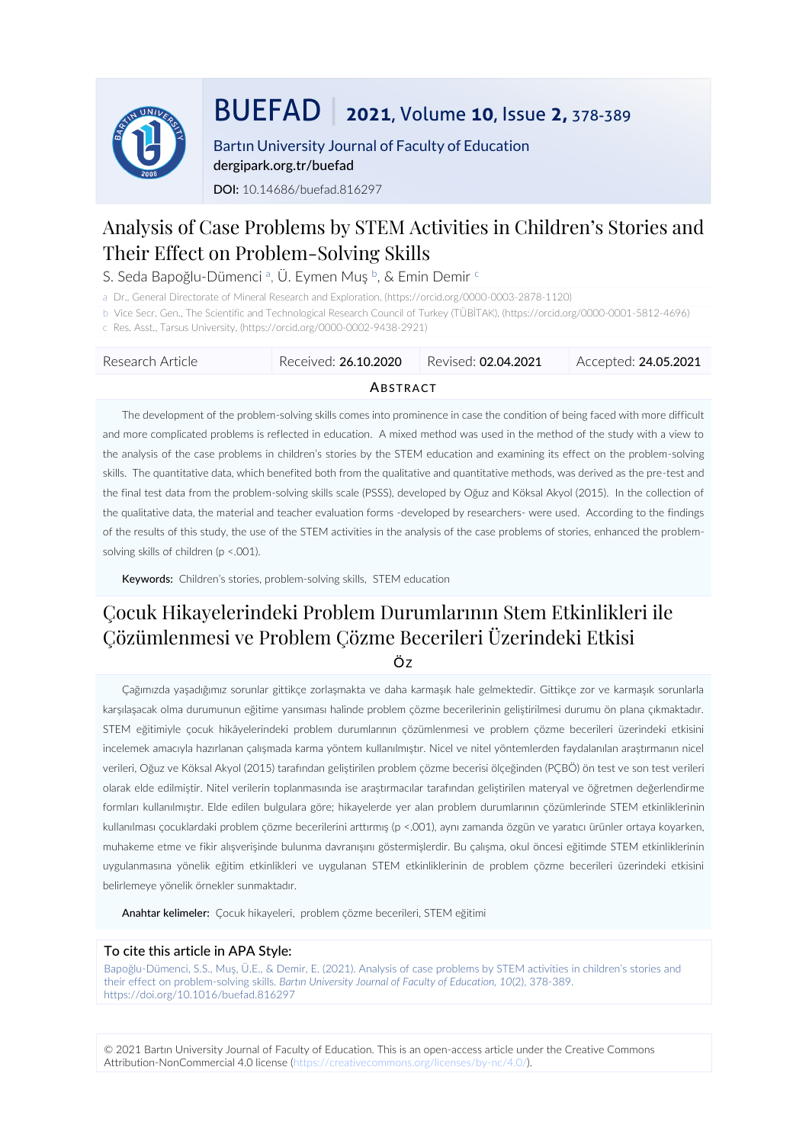

# BUEFAD | **<sup>2021</sup>**, Volume **10**, Issue **2,** 378-389

Bartın University Journal of Faculty of Education dergipark.org.tr/buefad DOI: 10.14686/buefad.816297

# Analysis of Case Problems by STEM Activities in Children's Stories and Their Effect on Problem-Solving Skills

S. Seda Bapoğlu-Dümenci ª, Ü. Eymen Muş ʰ, & Emin Demir ʿ

a Dr., General Directorate of Mineral Research and Exploration, (https://orcid.org/0000-0003-2878-1120)

b Vice Secr. Gen., The Scientific and Technological Research Council of Turkey (TÜBİTAK), (https://orcid.org/0000-0001-5812-4696)

c Res. Asst., Tarsus University, (https://orcid.org/0000-0002-9438-2921)

| - Research Article | Received: 26.10.2020 | Revised: <b>02.04.2021</b> | Accepted: <b>24.05.2021</b> |  |  |  |
|--------------------|----------------------|----------------------------|-----------------------------|--|--|--|
| ABSTRACT           |                      |                            |                             |  |  |  |

The development of the problem-solving skills comes into prominence in case the condition of being faced with more difficult and more complicated problems is reflected in education. A mixed method was used in the method of the study with a view to the analysis of the case problems in children's stories by the STEM education and examining its effect on the problem-solving skills. The quantitative data, which benefited both from the qualitative and quantitative methods, was derived as the pre-test and the final test data from the problem-solving skills scale (PSSS), developed by Oğuz and Köksal Akyol (2015). In the collection of the qualitative data, the material and teacher evaluation forms -developed by researchers- were used. According to the findings of the results of this study, the use of the STEM activities in the analysis of the case problems of stories, enhanced the problemsolving skills of children (p <.001).

Keywords: Children's stories, problem-solving skills, STEM education

# Çocuk Hikayelerindeki Problem Durumlarının Stem Etkinlikleri ile Çözümlenmesi ve Problem Çözme Becerileri Üzerindeki Etkisi

ÖZ

Çağımızda yaşadığımız sorunlar gittikçe zorlaşmakta ve daha karmaşık hale gelmektedir. Gittikçe zor ve karmaşık sorunlarla karşılaşacak olma durumunun eğitime yansıması halinde problem çözme becerilerinin geliştirilmesi durumu ön plana çıkmaktadır. STEM eğitimiyle çocuk hikâyelerindeki problem durumlarının çözümlenmesi ve problem çözme becerileri üzerindeki etkisini incelemek amacıyla hazırlanan çalışmada karma yöntem kullanılmıştır. Nicel ve nitel yöntemlerden faydalanılan araştırmanın nicel verileri, Oğuz ve Köksal Akyol (2015) tarafından geliştirilen problem çözme becerisi ölçeğinden (PÇBÖ) ön test ve son test verileri olarak elde edilmiştir. Nitel verilerin toplanmasında ise araştırmacılar tarafından geliştirilen materyal ve öğretmen değerlendirme formları kullanılmıştır. Elde edilen bulgulara göre; hikayelerde yer alan problem durumlarının çözümlerinde STEM etkinliklerinin kullanılması çocuklardaki problem çözme becerilerini arttırmış (p <.001), aynı zamanda özgün ve yaratıcı ürünler ortaya koyarken, muhakeme etme ve fikir alışverişinde bulunma davranışını göstermişlerdir. Bu çalışma, okul öncesi eğitimde STEM etkinliklerinin uygulanmasına yönelik eğitim etkinlikleri ve uygulanan STEM etkinliklerinin de problem çözme becerileri üzerindeki etkisini belirlemeye yönelik örnekler sunmaktadır.

Anahtar kelimeler: Çocuk hikayeleri, problem çözme becerileri, STEM eğitimi

#### To cite this article in APA Style:

Bapoğlu-[Dümenci, S.S., Muş, Ü.E., & Demir, E. \(2021\). Analysis of case problems by STEM activities in children's stories and](Bapoğlu-Dümenci,%20S.S.,%20Muş,%20Ü.E.,%20&%20Demir,%20E.%20(2021).%20Analysis%20of%20case%20problems%20by%20STEM%20activities%20in%20children’s%20stories%20and%20their%20effect%20on%20problem-solving%20skills.%20Bartın%20University%20Journal%20of%20Faculty%20of%20Education,%2010(2),%20378-389.%20https:/doi.org/10.1016/buefad.)  their effect on problem-solving skills. *[Bartın University Journal of Faculty of Education, 10](Bapoğlu-Dümenci,%20S.S.,%20Muş,%20Ü.E.,%20&%20Demir,%20E.%20(2021).%20Analysis%20of%20case%20problems%20by%20STEM%20activities%20in%20children’s%20stories%20and%20their%20effect%20on%20problem-solving%20skills.%20Bartın%20University%20Journal%20of%20Faculty%20of%20Education,%2010(2),%20378-389.%20https:/doi.org/10.1016/buefad.)*(2), 378-389. [https://doi.org/10.1016/buefad.8](Bapoğlu-Dümenci,%20S.S.,%20Muş,%20Ü.E.,%20&%20Demir,%20E.%20(2021).%20Analysis%20of%20case%20problems%20by%20STEM%20activities%20in%20children’s%20stories%20and%20their%20effect%20on%20problem-solving%20skills.%20Bartın%20University%20Journal%20of%20Faculty%20of%20Education,%2010(2),%20378-389.%20https:/doi.org/10.1016/buefad.)16297

© 2021 Bartın University Journal of Faculty of Education. This is an open-access article under the Creative Commons Attribution-NonCommercial 4.0 license (https://creativecommons.org/licenses/by-nc/4.0/).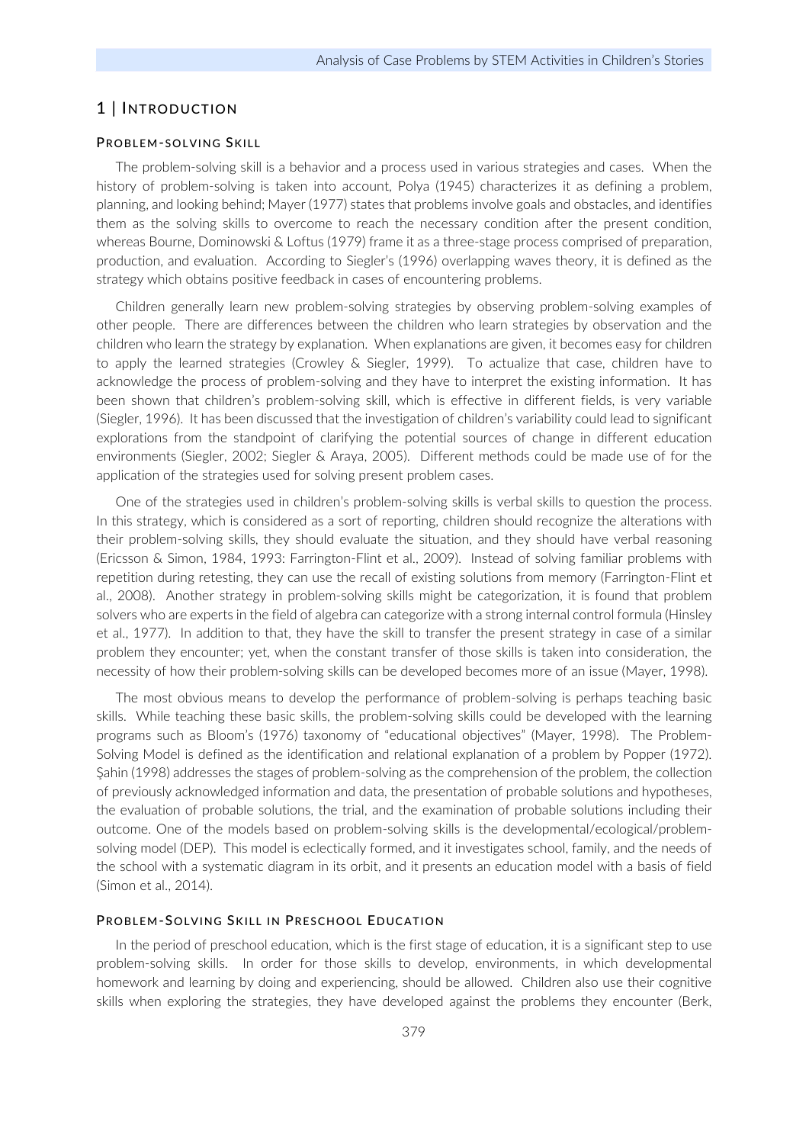# 1 | INTRODUCTION

#### PROBLEM-SOLVING SKILL

The problem-solving skill is a behavior and a process used in various strategies and cases. When the history of problem-solving is taken into account, Polya (1945) characterizes it as defining a problem, planning, and looking behind; Mayer (1977) states that problems involve goals and obstacles, and identifies them as the solving skills to overcome to reach the necessary condition after the present condition, whereas Bourne, Dominowski & Loftus (1979) frame it as a three-stage process comprised of preparation, production, and evaluation. According to Siegler's (1996) overlapping waves theory, it is defined as the strategy which obtains positive feedback in cases of encountering problems.

Children generally learn new problem-solving strategies by observing problem-solving examples of other people. There are differences between the children who learn strategies by observation and the children who learn the strategy by explanation. When explanations are given, it becomes easy for children to apply the learned strategies (Crowley & Siegler, 1999). To actualize that case, children have to acknowledge the process of problem-solving and they have to interpret the existing information. It has been shown that children's problem-solving skill, which is effective in different fields, is very variable (Siegler, 1996). It has been discussed that the investigation of children's variability could lead to significant explorations from the standpoint of clarifying the potential sources of change in different education environments (Siegler, 2002; Siegler & Araya, 2005). Different methods could be made use of for the application of the strategies used for solving present problem cases.

One of the strategies used in children's problem-solving skills is verbal skills to question the process. In this strategy, which is considered as a sort of reporting, children should recognize the alterations with their problem-solving skills, they should evaluate the situation, and they should have verbal reasoning (Ericsson & Simon, 1984, 1993: Farrington-Flint et al., 2009). Instead of solving familiar problems with repetition during retesting, they can use the recall of existing solutions from memory (Farrington-Flint et al., 2008). Another strategy in problem-solving skills might be categorization, it is found that problem solvers who are experts in the field of algebra can categorize with a strong internal control formula (Hinsley et al., 1977). In addition to that, they have the skill to transfer the present strategy in case of a similar problem they encounter; yet, when the constant transfer of those skills is taken into consideration, the necessity of how their problem-solving skills can be developed becomes more of an issue (Mayer, 1998).

The most obvious means to develop the performance of problem-solving is perhaps teaching basic skills. While teaching these basic skills, the problem-solving skills could be developed with the learning programs such as Bloom's (1976) taxonomy of "educational objectives" (Mayer, 1998). The Problem-Solving Model is defined as the identification and relational explanation of a problem by Popper (1972). Şahin (1998) addresses the stages of problem-solving as the comprehension of the problem, the collection of previously acknowledged information and data, the presentation of probable solutions and hypotheses, the evaluation of probable solutions, the trial, and the examination of probable solutions including their outcome. One of the models based on problem-solving skills is the developmental/ecological/problemsolving model (DEP). This model is eclectically formed, and it investigates school, family, and the needs of the school with a systematic diagram in its orbit, and it presents an education model with a basis of field (Simon et al., 2014).

#### PROBLEM-SOLVING SKILL IN PRESCHOOL EDUCATION

In the period of preschool education, which is the first stage of education, it is a significant step to use problem-solving skills. In order for those skills to develop, environments, in which developmental homework and learning by doing and experiencing, should be allowed. Children also use their cognitive skills when exploring the strategies, they have developed against the problems they encounter (Berk,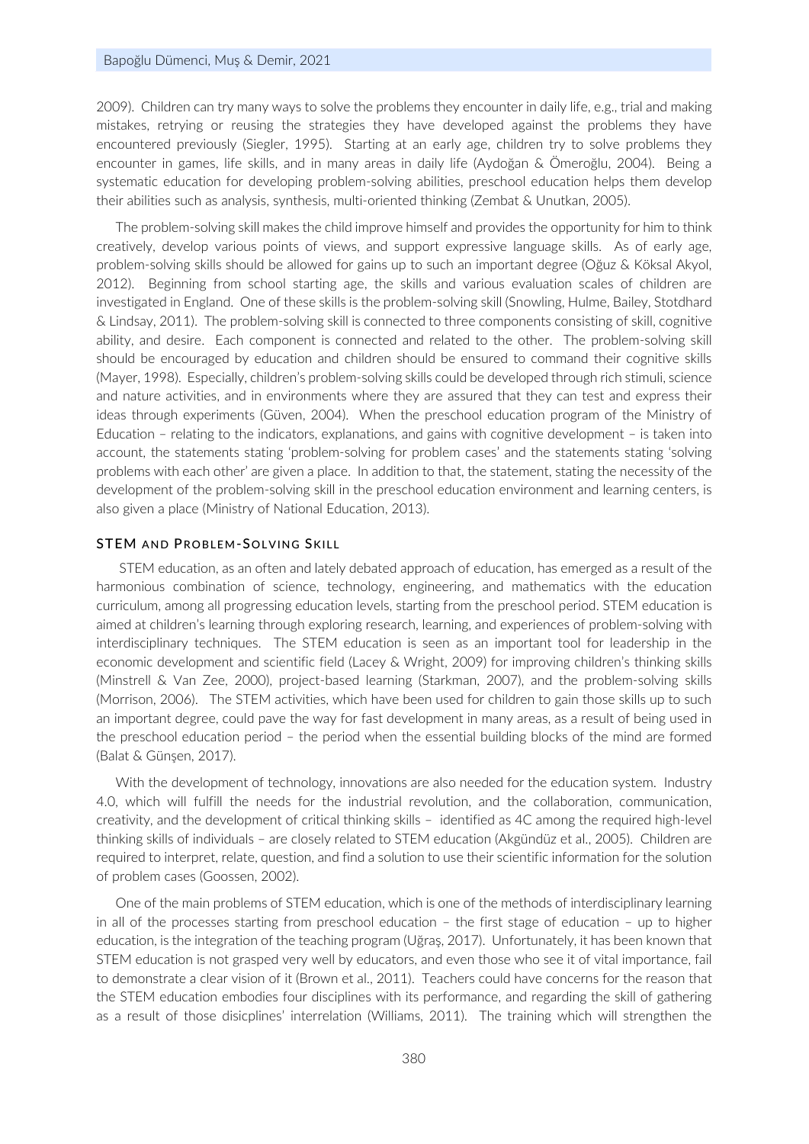#### Bapoğlu Dümenci, Muş & Demir, 2021

2009). Children can try many ways to solve the problems they encounter in daily life, e.g., trial and making mistakes, retrying or reusing the strategies they have developed against the problems they have encountered previously (Siegler, 1995). Starting at an early age, children try to solve problems they encounter in games, life skills, and in many areas in daily life (Aydoğan & Ömeroğlu, 2004). Being a systematic education for developing problem-solving abilities, preschool education helps them develop their abilities such as analysis, synthesis, multi-oriented thinking (Zembat & Unutkan, 2005).

The problem-solving skill makes the child improve himself and provides the opportunity for him to think creatively, develop various points of views, and support expressive language skills. As of early age, problem-solving skills should be allowed for gains up to such an important degree (Oğuz & Köksal Akyol, 2012). Beginning from school starting age, the skills and various evaluation scales of children are investigated in England. One of these skills is the problem-solving skill (Snowling, Hulme, Bailey, Stotdhard & Lindsay, 2011). The problem-solving skill is connected to three components consisting of skill, cognitive ability, and desire. Each component is connected and related to the other. The problem-solving skill should be encouraged by education and children should be ensured to command their cognitive skills (Mayer, 1998). Especially, children's problem-solving skills could be developed through rich stimuli, science and nature activities, and in environments where they are assured that they can test and express their ideas through experiments (Güven, 2004). When the preschool education program of the Ministry of Education – relating to the indicators, explanations, and gains with cognitive development – is taken into account, the statements stating 'problem-solving for problem cases' and the statements stating 'solving problems with each other' are given a place. In addition to that, the statement, stating the necessity of the development of the problem-solving skill in the preschool education environment and learning centers, is also given a place (Ministry of National Education, 2013).

#### STEM AND PROBLEM-SOLVING SKILL

STEM education, as an often and lately debated approach of education, has emerged as a result of the harmonious combination of science, technology, engineering, and mathematics with the education curriculum, among all progressing education levels, starting from the preschool period. STEM education is aimed at children's learning through exploring research, learning, and experiences of problem-solving with interdisciplinary techniques. The STEM education is seen as an important tool for leadership in the economic development and scientific field (Lacey & Wright, 2009) for improving children's thinking skills (Minstrell & Van Zee, 2000), project-based learning (Starkman, 2007), and the problem-solving skills (Morrison, 2006). The STEM activities, which have been used for children to gain those skills up to such an important degree, could pave the way for fast development in many areas, as a result of being used in the preschool education period – the period when the essential building blocks of the mind are formed (Balat & Günşen, 2017).

With the development of technology, innovations are also needed for the education system. Industry 4.0, which will fulfill the needs for the industrial revolution, and the collaboration, communication, creativity, and the development of critical thinking skills – identified as 4C among the required high-level thinking skills of individuals – are closely related to STEM education (Akgündüz et al., 2005). Children are required to interpret, relate, question, and find a solution to use their scientific information for the solution of problem cases (Goossen, 2002).

One of the main problems of STEM education, which is one of the methods of interdisciplinary learning in all of the processes starting from preschool education – the first stage of education – up to higher education, is the integration of the teaching program (Uğraş, 2017). Unfortunately, it has been known that STEM education is not grasped very well by educators, and even those who see it of vital importance, fail to demonstrate a clear vision of it (Brown et al., 2011). Teachers could have concerns for the reason that the STEM education embodies four disciplines with its performance, and regarding the skill of gathering as a result of those disicplines' interrelation (Williams, 2011). The training which will strengthen the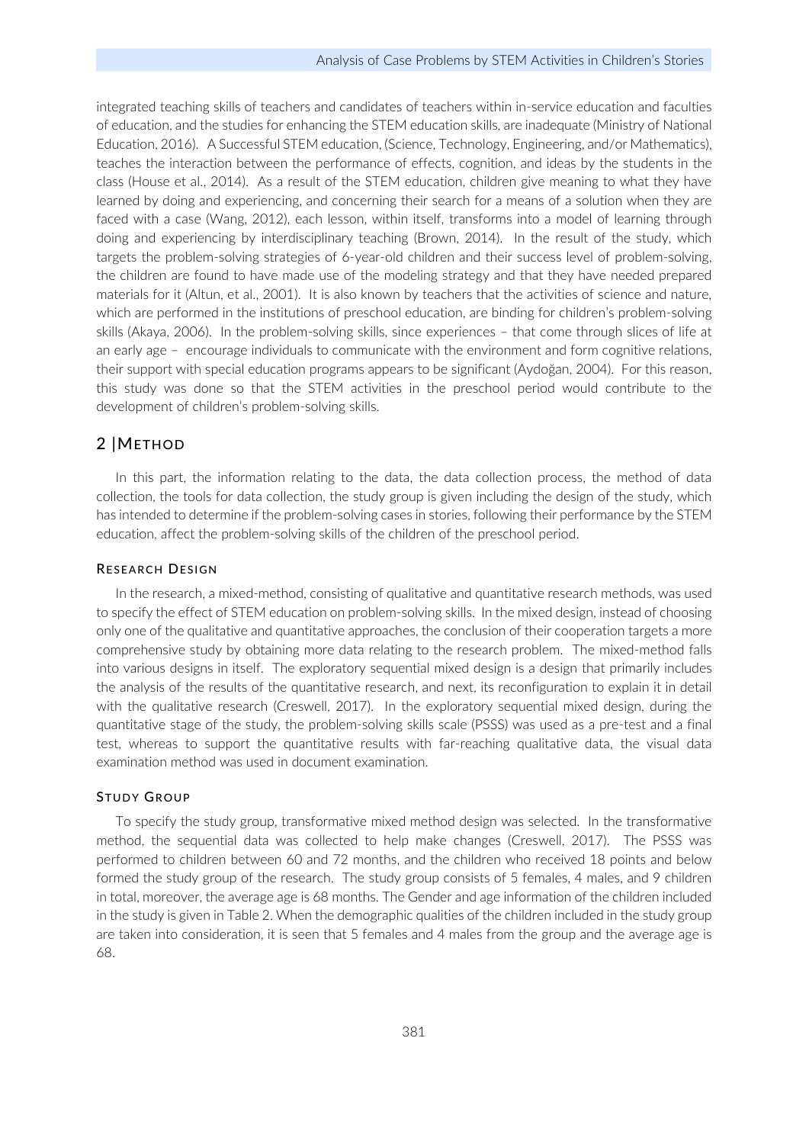integrated teaching skills of teachers and candidates of teachers within in-service education and faculties of education, and the studies for enhancing the STEM education skills, are inadequate (Ministry of National Education, 2016). A Successful STEM education, (Science, Technology, Engineering, and/or Mathematics), teaches the interaction between the performance of effects, cognition, and ideas by the students in the class (House et al., 2014). As a result of the STEM education, children give meaning to what they have learned by doing and experiencing, and concerning their search for a means of a solution when they are faced with a case (Wang, 2012), each lesson, within itself, transforms into a model of learning through doing and experiencing by interdisciplinary teaching (Brown, 2014). In the result of the study, which targets the problem-solving strategies of 6-year-old children and their success level of problem-solving, the children are found to have made use of the modeling strategy and that they have needed prepared materials for it (Altun, et al., 2001). It is also known by teachers that the activities of science and nature, which are performed in the institutions of preschool education, are binding for children's problem-solving skills (Akaya, 2006). In the problem-solving skills, since experiences – that come through slices of life at an early age – encourage individuals to communicate with the environment and form cognitive relations, their support with special education programs appears to be significant (Aydoğan, 2004). For this reason, this study was done so that the STEM activities in the preschool period would contribute to the development of children's problem-solving skills.

# 2 |METHOD

In this part, the information relating to the data, the data collection process, the method of data collection, the tools for data collection, the study group is given including the design of the study, which has intended to determine if the problem-solving cases in stories, following their performance by the STEM education, affect the problem-solving skills of the children of the preschool period.

#### RESEARCH DESIGN

In the research, a mixed-method, consisting of qualitative and quantitative research methods, was used to specify the effect of STEM education on problem-solving skills. In the mixed design, instead of choosing only one of the qualitative and quantitative approaches, the conclusion of their cooperation targets a more comprehensive study by obtaining more data relating to the research problem. The mixed-method falls into various designs in itself. The exploratory sequential mixed design is a design that primarily includes the analysis of the results of the quantitative research, and next, its reconfiguration to explain it in detail with the qualitative research (Creswell, 2017). In the exploratory sequential mixed design, during the quantitative stage of the study, the problem-solving skills scale (PSSS) was used as a pre-test and a final test, whereas to support the quantitative results with far-reaching qualitative data, the visual data examination method was used in document examination.

#### STUDY GROUP

To specify the study group, transformative mixed method design was selected. In the transformative method, the sequential data was collected to help make changes (Creswell, 2017). The PSSS was performed to children between 60 and 72 months, and the children who received 18 points and below formed the study group of the research. The study group consists of 5 females, 4 males, and 9 children in total, moreover, the average age is 68 months. The Gender and age information of the children included in the study is given in Table 2. When the demographic qualities of the children included in the study group are taken into consideration, it is seen that 5 females and 4 males from the group and the average age is 68.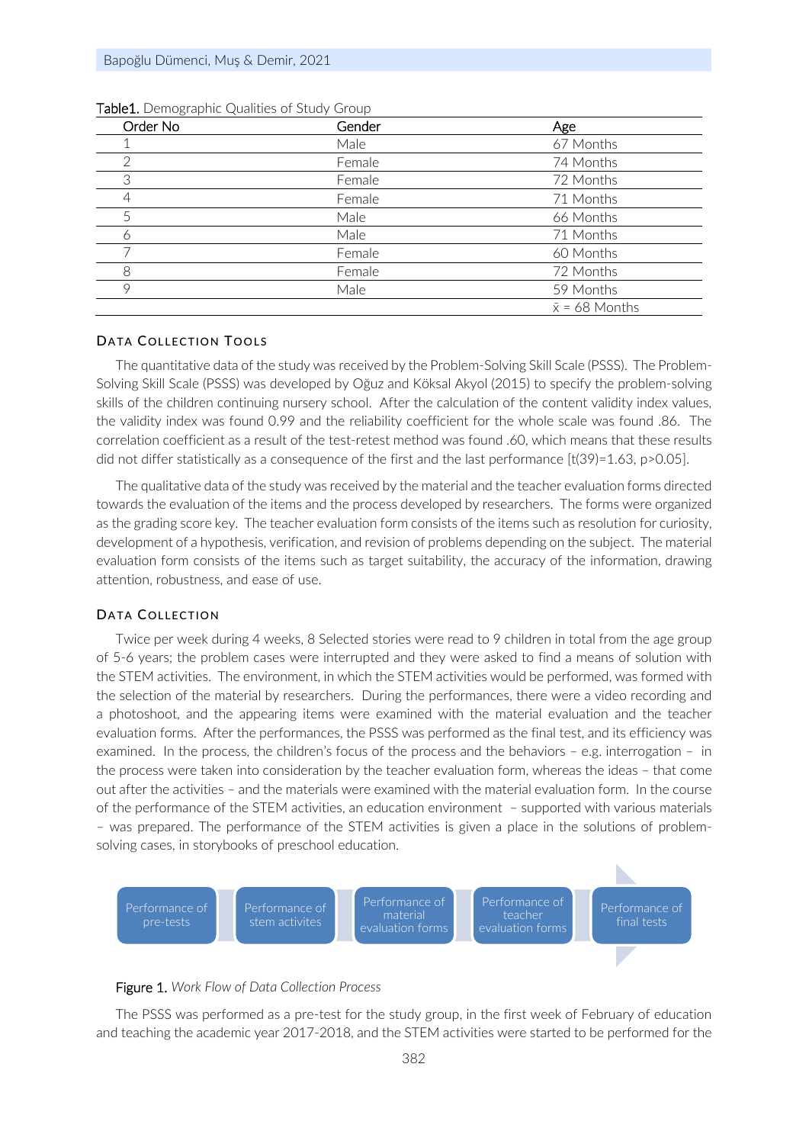| Order No | Gender | Age                   |
|----------|--------|-----------------------|
|          | Male   | 67 Months             |
| 2        | Female | 74 Months             |
| 3        | Female | 72 Months             |
| 4        | Female | 71 Months             |
| 5        | Male   | 66 Months             |
| 的        | Male   | 71 Months             |
|          | Female | 60 Months             |
| 8        | Female | 72 Months             |
| 9        | Male   | 59 Months             |
|          |        | $\bar{x}$ = 68 Months |

#### DATA COLLECTION TOOLS

The quantitative data of the study was received by the Problem-Solving Skill Scale (PSSS). The Problem-Solving Skill Scale (PSSS) was developed by Oğuz and Köksal Akyol (2015) to specify the problem-solving skills of the children continuing nursery school. After the calculation of the content validity index values, the validity index was found 0.99 and the reliability coefficient for the whole scale was found .86. The correlation coefficient as a result of the test-retest method was found .60, which means that these results did not differ statistically as a consequence of the first and the last performance [t(39)=1.63, p>0.05].

The qualitative data of the study was received by the material and the teacher evaluation forms directed towards the evaluation of the items and the process developed by researchers. The forms were organized as the grading score key. The teacher evaluation form consists of the items such as resolution for curiosity, development of a hypothesis, verification, and revision of problems depending on the subject. The material evaluation form consists of the items such as target suitability, the accuracy of the information, drawing attention, robustness, and ease of use.

#### DATA COLLECTION

Twice per week during 4 weeks, 8 Selected stories were read to 9 children in total from the age group of 5-6 years; the problem cases were interrupted and they were asked to find a means of solution with the STEM activities. The environment, in which the STEM activities would be performed, was formed with the selection of the material by researchers. During the performances, there were a video recording and a photoshoot, and the appearing items were examined with the material evaluation and the teacher evaluation forms. After the performances, the PSSS was performed as the final test, and its efficiency was examined. In the process, the children's focus of the process and the behaviors – e.g. interrogation – in the process were taken into consideration by the teacher evaluation form, whereas the ideas – that come out after the activities – and the materials were examined with the material evaluation form. In the course of the performance of the STEM activities, an education environment – supported with various materials – was prepared. The performance of the STEM activities is given a place in the solutions of problemsolving cases, in storybooks of preschool education.



#### Figure 1. *Work Flow of Data Collection Process*

The PSSS was performed as a pre-test for the study group, in the first week of February of education and teaching the academic year 2017-2018, and the STEM activities were started to be performed for the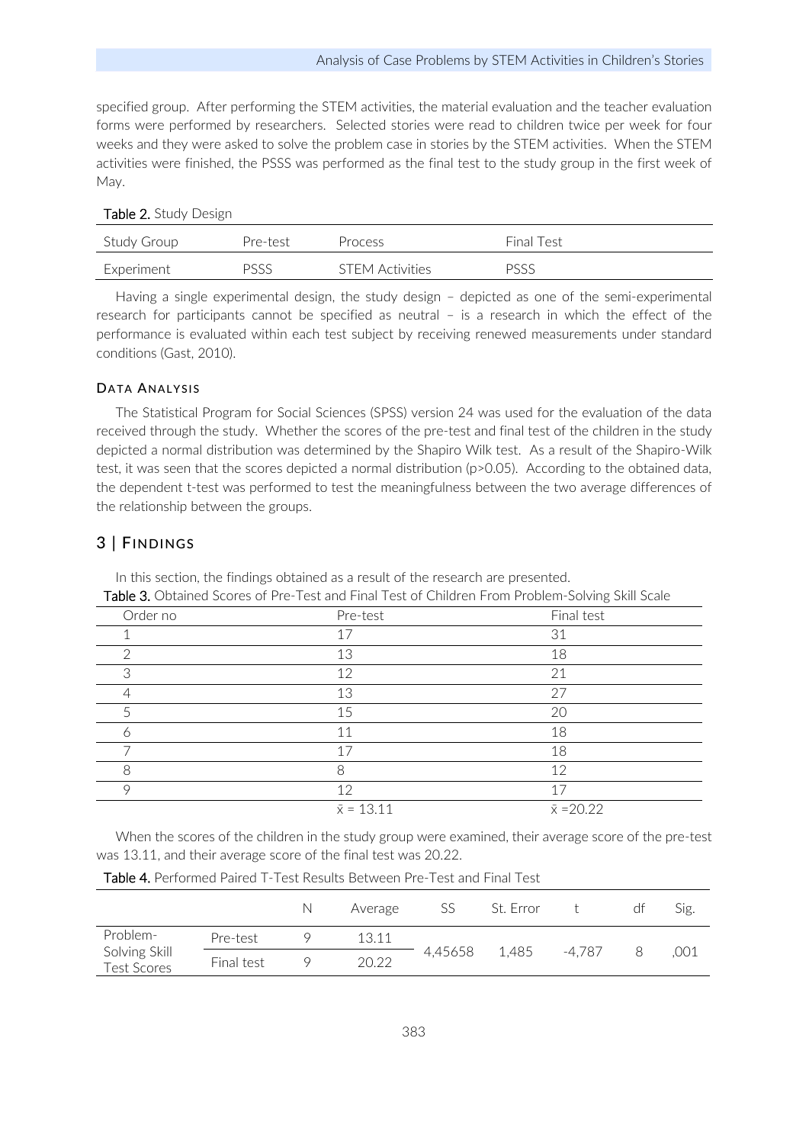specified group. After performing the STEM activities, the material evaluation and the teacher evaluation forms were performed by researchers. Selected stories were read to children twice per week for four weeks and they were asked to solve the problem case in stories by the STEM activities. When the STEM activities were finished, the PSSS was performed as the final test to the study group in the first week of May.

| Study Group | Pre-test | Process                | Final Test |
|-------------|----------|------------------------|------------|
| Experiment  | PSSS     | <b>STEM Activities</b> | PSSS       |

Having a single experimental design, the study design – depicted as one of the semi-experimental research for participants cannot be specified as neutral – is a research in which the effect of the performance is evaluated within each test subject by receiving renewed measurements under standard conditions (Gast, 2010).

# DATA ANALYSIS

The Statistical Program for Social Sciences (SPSS) version 24 was used for the evaluation of the data received through the study. Whether the scores of the pre-test and final test of the children in the study depicted a normal distribution was determined by the Shapiro Wilk test. As a result of the Shapiro-Wilk test, it was seen that the scores depicted a normal distribution (p>0.05). According to the obtained data, the dependent t-test was performed to test the meaningfulness between the two average differences of the relationship between the groups.

# 3 | FINDINGS

| <b>TADIE 0.</b> ODTAILIEU SCOLES OF PTE-TEST ANU FINAL LEST OF CHIIUTEN FLOUIL PLODIENT-SOIVING SKIIL SCAIE |                   |                   |  |  |
|-------------------------------------------------------------------------------------------------------------|-------------------|-------------------|--|--|
| Order no                                                                                                    | Pre-test          | Final test        |  |  |
|                                                                                                             | 17                | 31                |  |  |
| ⌒                                                                                                           | 13                | 18                |  |  |
| 3                                                                                                           | 12                | 21                |  |  |
| 4                                                                                                           | 13                | 27                |  |  |
| 5                                                                                                           | 15                | 20                |  |  |
| ∩                                                                                                           | 11                | 18                |  |  |
|                                                                                                             | 17                | 18                |  |  |
| 8                                                                                                           | 8                 | 12                |  |  |
| $\circ$                                                                                                     | 12                | 17                |  |  |
|                                                                                                             | $\bar{x} = 13.11$ | $\bar{x} = 20.22$ |  |  |

In this section, the findings obtained as a result of the research are presented. Table 3. Obtained Scores of Pre-Test and Final Test of Children From Problem-Solving Skill Scale

When the scores of the children in the study group were examined, their average score of the pre-test was 13.11, and their average score of the final test was 20.22.

|                                     |            | N | Average | 55      | St. Error |        | dt | Sig. |
|-------------------------------------|------------|---|---------|---------|-----------|--------|----|------|
| Problem-                            | Pre-test   |   | 13.11   |         |           |        |    |      |
| Solving Skill<br><b>Test Scores</b> | Final test |   | 20.22   | 4,45658 | 1,485     | -4.787 |    | .001 |

Table 4. Performed Paired T-Test Results Between Pre-Test and Final Test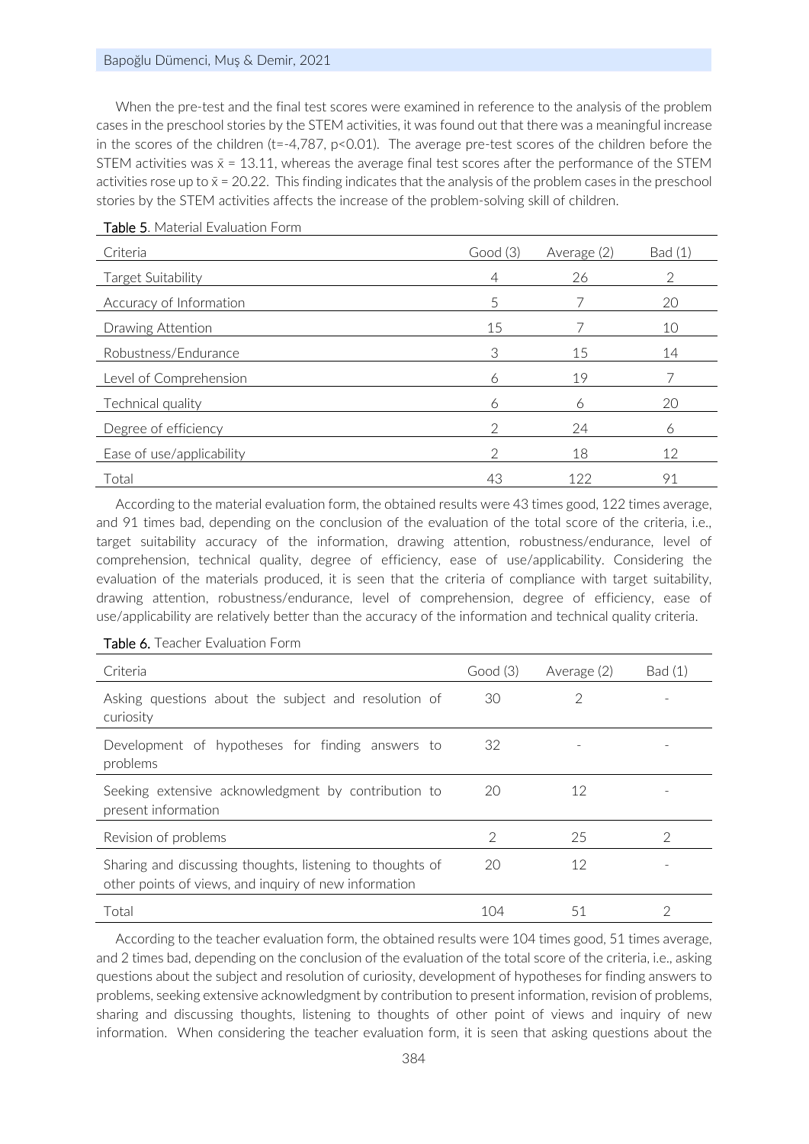#### Bapoğlu Dümenci, Muş & Demir, 2021

When the pre-test and the final test scores were examined in reference to the analysis of the problem cases in the preschool stories by the STEM activities, it was found out that there was a meaningful increase in the scores of the children (t=-4,787, p<0.01). The average pre-test scores of the children before the STEM activities was  $\bar{x} = 13.11$ , whereas the average final test scores after the performance of the STEM activities rose up to  $\bar{x}$  = 20.22. This finding indicates that the analysis of the problem cases in the preschool stories by the STEM activities affects the increase of the problem-solving skill of children.

| Criteria                  | Good(3)       | Average (2) | Bad (1) |
|---------------------------|---------------|-------------|---------|
| Target Suitability        | 4             | 26          | 2       |
| Accuracy of Information   | 5             |             | 20      |
| Drawing Attention         | 15            |             | 10      |
| Robustness/Endurance      | 3             | 15          | 14      |
| Level of Comprehension    | 6             | 19          |         |
| Technical quality         | 6             | 6           | 20      |
| Degree of efficiency      | $\mathcal{D}$ | 24          | 6       |
| Ease of use/applicability | $\mathcal{D}$ | 18          | 12      |
| Total                     | 43            | 122         | 91      |

#### Table 5. Material Evaluation Form

According to the material evaluation form, the obtained results were 43 times good, 122 times average, and 91 times bad, depending on the conclusion of the evaluation of the total score of the criteria, i.e., target suitability accuracy of the information, drawing attention, robustness/endurance, level of comprehension, technical quality, degree of efficiency, ease of use/applicability. Considering the evaluation of the materials produced, it is seen that the criteria of compliance with target suitability, drawing attention, robustness/endurance, level of comprehension, degree of efficiency, ease of use/applicability are relatively better than the accuracy of the information and technical quality criteria.

| Criteria                                                                                                           | Good(3) | Average (2) | Bad (1) |
|--------------------------------------------------------------------------------------------------------------------|---------|-------------|---------|
| Asking questions about the subject and resolution of<br>curiosity                                                  | 30      |             |         |
| Development of hypotheses for finding answers to<br>problems                                                       | 32      |             |         |
| Seeking extensive acknowledgment by contribution to<br>present information                                         | 20      | 12          |         |
| Revision of problems                                                                                               | 2       | 25          |         |
| Sharing and discussing thoughts, listening to thoughts of<br>other points of views, and inquiry of new information | 20      | 12          |         |
| Total                                                                                                              | 104     | 51          |         |

#### Table 6. Teacher Evaluation Form

According to the teacher evaluation form, the obtained results were 104 times good, 51 times average, and 2 times bad, depending on the conclusion of the evaluation of the total score of the criteria, i.e., asking questions about the subject and resolution of curiosity, development of hypotheses for finding answers to problems, seeking extensive acknowledgment by contribution to present information, revision of problems, sharing and discussing thoughts, listening to thoughts of other point of views and inquiry of new information. When considering the teacher evaluation form, it is seen that asking questions about the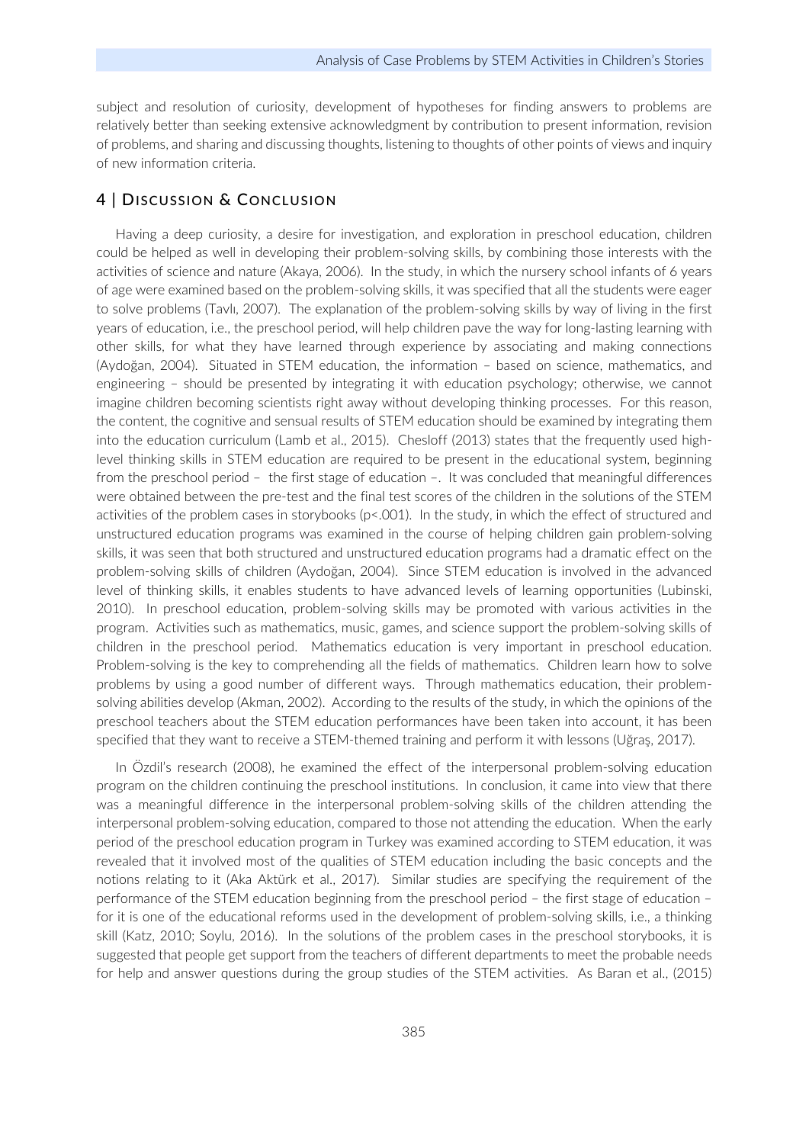subject and resolution of curiosity, development of hypotheses for finding answers to problems are relatively better than seeking extensive acknowledgment by contribution to present information, revision of problems, and sharing and discussing thoughts, listening to thoughts of other points of views and inquiry of new information criteria.

## 4 | DISCUSSION & CONCLUSION

Having a deep curiosity, a desire for investigation, and exploration in preschool education, children could be helped as well in developing their problem-solving skills, by combining those interests with the activities of science and nature (Akaya, 2006). In the study, in which the nursery school infants of 6 years of age were examined based on the problem-solving skills, it was specified that all the students were eager to solve problems (Tavlı, 2007). The explanation of the problem-solving skills by way of living in the first years of education, i.e., the preschool period, will help children pave the way for long-lasting learning with other skills, for what they have learned through experience by associating and making connections (Aydoğan, 2004). Situated in STEM education, the information – based on science, mathematics, and engineering – should be presented by integrating it with education psychology; otherwise, we cannot imagine children becoming scientists right away without developing thinking processes. For this reason, the content, the cognitive and sensual results of STEM education should be examined by integrating them into the education curriculum (Lamb et al., 2015). Chesloff (2013) states that the frequently used highlevel thinking skills in STEM education are required to be present in the educational system, beginning from the preschool period – the first stage of education –. It was concluded that meaningful differences were obtained between the pre-test and the final test scores of the children in the solutions of the STEM activities of the problem cases in storybooks ( $p$ <.001). In the study, in which the effect of structured and unstructured education programs was examined in the course of helping children gain problem-solving skills, it was seen that both structured and unstructured education programs had a dramatic effect on the problem-solving skills of children (Aydoğan, 2004). Since STEM education is involved in the advanced level of thinking skills, it enables students to have advanced levels of learning opportunities (Lubinski, 2010). In preschool education, problem-solving skills may be promoted with various activities in the program. Activities such as mathematics, music, games, and science support the problem-solving skills of children in the preschool period. Mathematics education is very important in preschool education. Problem-solving is the key to comprehending all the fields of mathematics. Children learn how to solve problems by using a good number of different ways. Through mathematics education, their problemsolving abilities develop (Akman, 2002). According to the results of the study, in which the opinions of the preschool teachers about the STEM education performances have been taken into account, it has been specified that they want to receive a STEM-themed training and perform it with lessons (Uğraş, 2017).

In Özdil's research (2008), he examined the effect of the interpersonal problem-solving education program on the children continuing the preschool institutions. In conclusion, it came into view that there was a meaningful difference in the interpersonal problem-solving skills of the children attending the interpersonal problem-solving education, compared to those not attending the education. When the early period of the preschool education program in Turkey was examined according to STEM education, it was revealed that it involved most of the qualities of STEM education including the basic concepts and the notions relating to it (Aka Aktürk et al., 2017). Similar studies are specifying the requirement of the performance of the STEM education beginning from the preschool period – the first stage of education – for it is one of the educational reforms used in the development of problem-solving skills, i.e., a thinking skill (Katz, 2010; Soylu, 2016). In the solutions of the problem cases in the preschool storybooks, it is suggested that people get support from the teachers of different departments to meet the probable needs for help and answer questions during the group studies of the STEM activities. As Baran et al., (2015)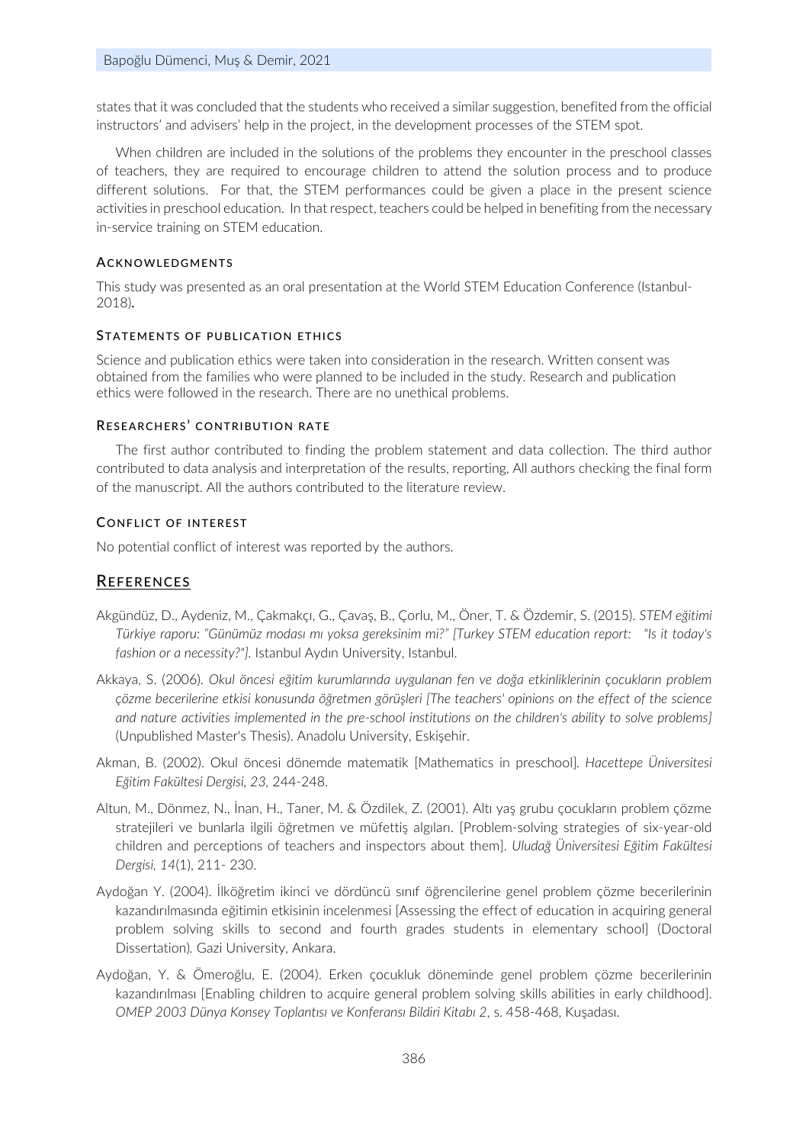states that it was concluded that the students who received a similar suggestion, benefited from the official instructors' and advisers' help in the project, in the development processes of the STEM spot.

When children are included in the solutions of the problems they encounter in the preschool classes of teachers, they are required to encourage children to attend the solution process and to produce different solutions. For that, the STEM performances could be given a place in the present science activities in preschool education. In that respect, teachers could be helped in benefiting from the necessary in-service training on STEM education.

### **ACKNOWLEDGMENTS**

This study was presented as an oral presentation at the World STEM Education Conference (Istanbul-2018).

# STATEMENTS OF PUBLICATION ETHICS

Science and publication ethics were taken into consideration in the research. Written consent was obtained from the families who were planned to be included in the study. Research and publication ethics were followed in the research. There are no unethical problems.

# RESEARCHERS' CONTRIBUTION RATE

The first author contributed to finding the problem statement and data collection. The third author contributed to data analysis and interpretation of the results, reporting, All authors checking the final form of the manuscript. All the authors contributed to the literature review.

# CONFLICT OF INTEREST

No potential conflict of interest was reported by the authors.

# REFERENCES

- Akgündüz, D., Aydeniz, M., Çakmakçı, G., Çavaş, B., Çorlu, M., Öner, T. & Özdemir, S. (2015). *STEM eğitimi Türkiye raporu: "Günümüz modası mı yoksa gereksinim mi?" [Turkey STEM education report: "Is it today's fashion or a necessity?"].* Istanbul Aydın University, Istanbul.
- Akkaya, S. (2006). *Okul öncesi eğitim kurumlarında uygulanan fen ve doğa etkinliklerinin çocukların problem çözme becerilerine etkisi konusunda öğretmen görüşleri [The teachers' opinions on the effect of the science and nature activities implemented in the pre-school institutions on the children's ability to solve problems]* (Unpublished Master's Thesis). Anadolu University, Eskişehir.
- Akman, B. (2002). Okul öncesi dönemde matematik [Mathematics in preschool]*. Hacettepe Üniversitesi Eğitim Fakültesi Dergisi, 23,* 244-248.
- Altun, M., Dönmez, N., İnan, H., Taner, M. & Özdilek, Z. (2001). Altı yaş grubu çocukların problem çözme stratejileri ve bunlarla ilgili öğretmen ve müfettiş algıları. [Problem-solving strategies of six-year-old children and perceptions of teachers and inspectors about them]. *Uludağ Üniversitesi Eğitim Fakültesi Dergisi, 14*(1), 211- 230.
- Aydoğan Y. (2004). İlköğretim ikinci ve dördüncü sınıf öğrencilerine genel problem çözme becerilerinin kazandırılmasında eğitimin etkisinin incelenmesi [Assessing the effect of education in acquiring general problem solving skills to second and fourth grades students in elementary school] (Doctoral Dissertation)*.* Gazi University, Ankara.
- Aydoğan, Y. & Ömeroğlu, E. (2004). Erken çocukluk döneminde genel problem çözme becerilerinin kazandırılması [Enabling children to acquire general problem solving skills abilities in early childhood]. *OMEP 2003 Dünya Konsey Toplantısı ve Konferansı Bildiri Kitabı 2*, s. 458-468, Kuşadası.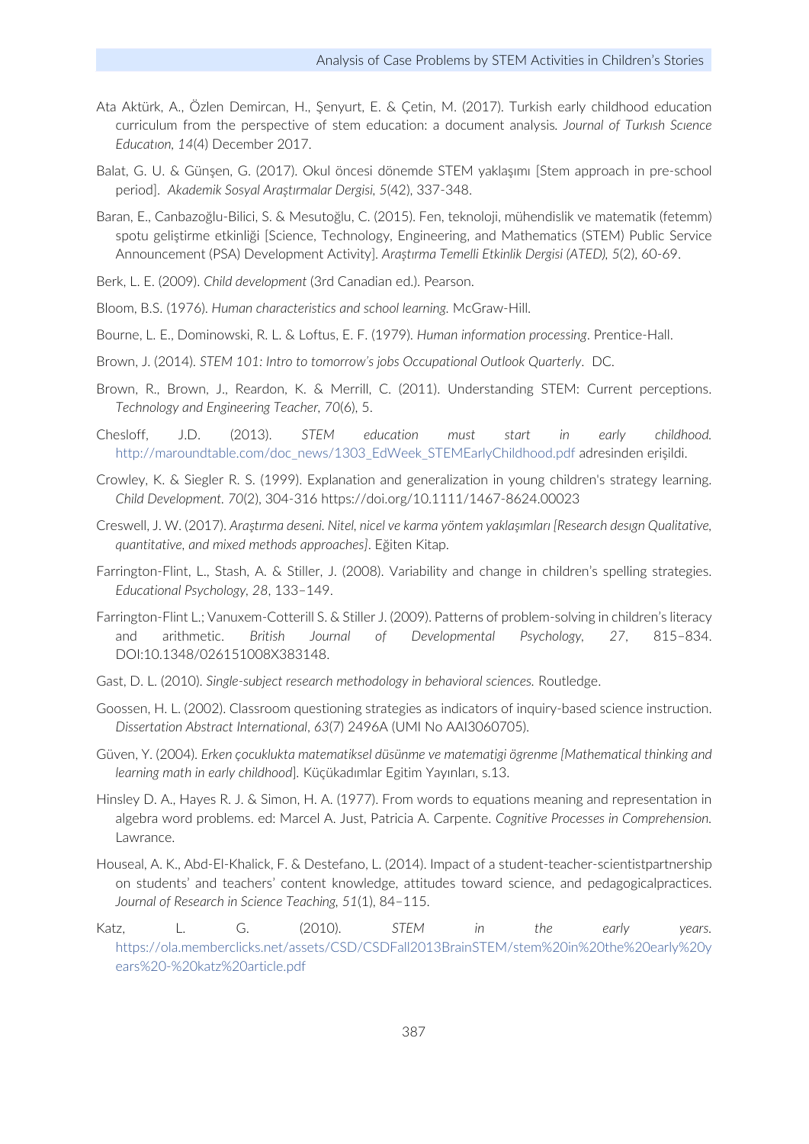- Ata Aktürk, A., Özlen Demircan, H., Şenyurt, E. & Çetin, M. (2017). Turkish early childhood education curriculum from the perspective of stem education: a document analysis*. Journal of Turkısh Scıence Educatıon, 14*(4) December 2017.
- Balat, G. U. & Günşen, G. (2017). Okul öncesi dönemde STEM yaklaşımı [Stem approach in pre-school period]. *Akademik Sosyal Araştırmalar Dergisi, 5*(42), 337-348.
- Baran, E., Canbazoğlu-Bilici, S. & Mesutoğlu, C. (2015). Fen, teknoloji, mühendislik ve matematik (fetemm) spotu geliştirme etkinliği [Science, Technology, Engineering, and Mathematics (STEM) Public Service Announcement (PSA) Development Activity]*. Araştırma Temelli Etkinlik Dergisi (ATED), 5*(2), 60-69.
- Berk, L. E. (2009). *Child development* (3rd Canadian ed.). Pearson.
- Bloom, B.S. (1976). *Human characteristics and school learning.* McGraw-Hill.
- Bourne, L. E., Dominowski, R. L. & Loftus, E. F. (1979). *Human information processing*. Prentice-Hall.
- Brown, J. (2014). *STEM 101: Intro to tomorrow's jobs Occupational Outlook Quarterly*. DC.
- Brown, R., Brown, J., Reardon, K. & Merrill, C. (2011). Understanding STEM: Current perceptions. *Technology and Engineering Teacher, 70*(6), 5.
- Chesloff, J.D. (2013). *STEM education must start in early childhood.*  [http://maroundtable.com/doc\\_news/1303\\_EdWeek\\_STEMEarlyChildhood.pdf](http://maroundtable.com/doc_news/1303_EdWeek_STEMEarlyChildhood.pdf) adresinden erişildi.
- Crowley, K. & Siegler R. S. (1999). Explanation and generalization in young children's strategy learning. *Child Development. 70*(2), 304-316 https://doi.org/10.1111/1467-8624.00023
- Creswell, J. W. (2017). *Araştırma deseni. Nitel, nicel ve karma yöntem yaklaşımları [Research desıgn Qualitative, quantitative, and mixed methods approaches]*. Eğiten Kitap.
- Farrington-Flint, L., Stash, A. & Stiller, J. (2008). Variability and change in children's spelling strategies. *Educational Psychology, 28*, 133–149.
- Farrington-Flint L.; Vanuxem-Cotterill S. & Stiller J. (2009). Patterns of problem-solving in children's literacy and arithmetic. *British Journal of Developmental Psychology, 27*, 815–834. DOI:10.1348/026151008X383148.
- Gast, D. L. (2010). *Single-subject research methodology in behavioral sciences.* Routledge.
- Goossen, H. L. (2002). Classroom questioning strategies as indicators of inquiry-based science instruction. *Dissertation Abstract International*, *63*(7) 2496A (UMI No AAI3060705).
- Güven, Y. (2004). *Erken çocuklukta matematiksel düsünme ve matematigi ögrenme [Mathematical thinking and learning math in early childhood*]*.* Küçükadımlar Egitim Yayınları, s.13.
- Hinsley D. A., Hayes R. J. & Simon, H. A. (1977). From words to equations meaning and representation in algebra word problems. ed: Marcel A. Just, Patricia A. Carpente. *Cognitive Processes in Comprehension.* Lawrance.
- Houseal, A. K., Abd-El-Khalick, F. & Destefano, L. (2014). Impact of a student-teacher-scientistpartnership on students' and teachers' content knowledge, attitudes toward science, and pedagogicalpractices. *Journal of Research in Science Teaching, 51*(1), 84–115.
- Katz, L. G. (2010). *STEM in the early years.*  [https://ola.memberclicks.net/assets/CSD/CSDFall2013BrainSTEM/stem%20in%20the%20early%20y](https://ola.memberclicks.net/assets/CSD/CSDFall2013BrainSTEM/stem%20in%20the%20early%20years%20-%20katz%20article.pdf) [ears%20-%20katz%20article.pdf](https://ola.memberclicks.net/assets/CSD/CSDFall2013BrainSTEM/stem%20in%20the%20early%20years%20-%20katz%20article.pdf)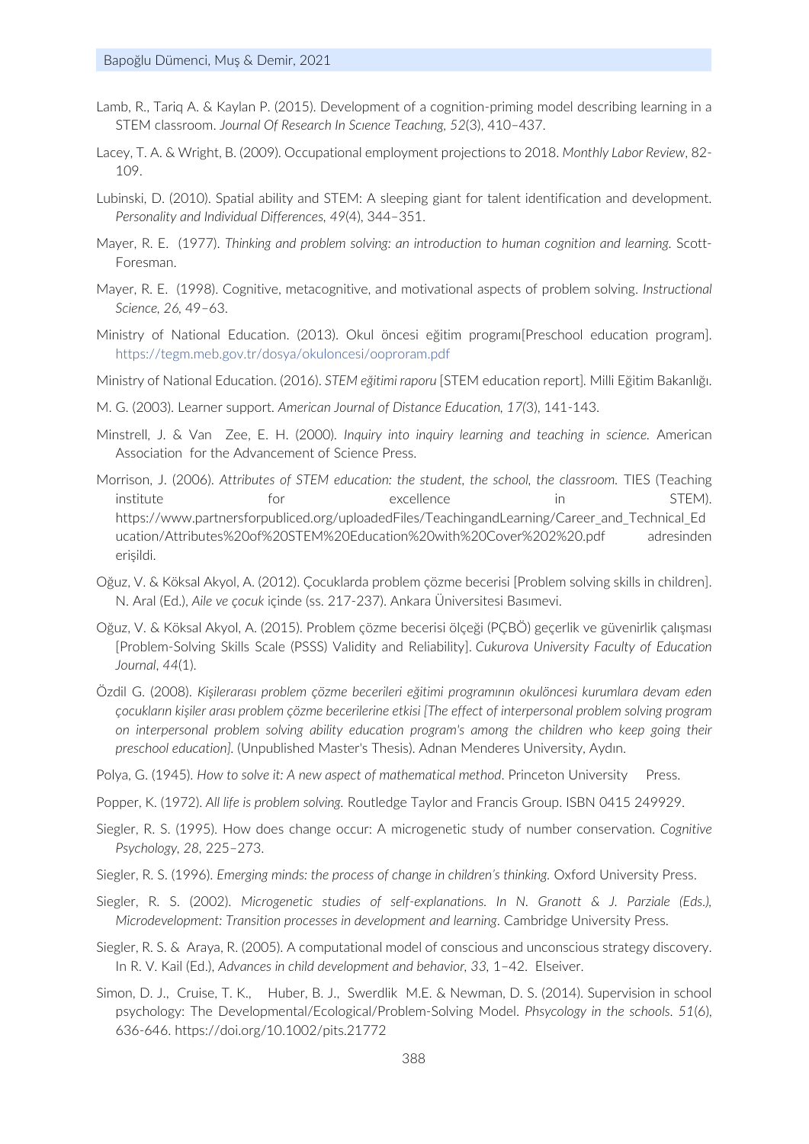- Lamb, R., Tariq A. & Kaylan P. (2015). Development of a cognition-priming model describing learning in a STEM classroom. *Journal Of Research In Scıence Teachıng, 52*(3), 410–437.
- Lacey, T. A. & Wright, B. (2009). Occupational employment projections to 2018. *Monthly Labor Review*, 82- 109.
- Lubinski, D. (2010). Spatial ability and STEM: A sleeping giant for talent identification and development. *Personality and Individual Differences, 49*(4), 344–351.
- Mayer, R. E. (1977). *Thinking and problem solving: an introduction to human cognition and learning.* Scott-Foresman.
- Mayer, R. E. (1998). Cognitive, metacognitive, and motivational aspects of problem solving. *Instructional Science, 26,* 49–63.
- Ministry of National Education. (2013). Okul öncesi eğitim programı[Preschool education program]. <https://tegm.meb.gov.tr/dosya/okuloncesi/ooproram.pdf>
- Ministry of National Education. (2016). *STEM eğitimi raporu* [STEM education report]*.* Milli Eğitim Bakanlığı.
- M. G. (2003). Learner support. *American Journal of Distance Education, 17(*3), 141-143.
- Minstrell, J. & Van Zee, E. H. (2000). *Inquiry into inquiry learning and teaching in science.* American Association for the Advancement of Science Press.
- Morrison, J. (2006). *Attributes of STEM education: the student, the school, the classroom.* TIES (Teaching institute for the excellence in STEM). https://www.partnersforpubliced.org/uploadedFiles/TeachingandLearning/Career\_and\_Technical\_Ed ucation/Attributes%20of%20STEM%20Education%20with%20Cover%202%20.pdf adresinden erişildi.
- Oğuz, V. & Köksal Akyol, A. (2012). Çocuklarda problem çözme becerisi [Problem solving skills in children]. N. Aral (Ed.), *Aile ve çocuk* içinde (ss. 217-237). Ankara Üniversitesi Basımevi.
- Oğuz, V. & Köksal Akyol, A. (2015). Problem çözme becerisi ölçeği (PÇBÖ) geçerlik ve güvenirlik çalışması [Problem-Solving Skills Scale (PSSS) Validity and Reliability]. *Cukurova University Faculty of Education Journal*, *44*(1).
- Özdil G. (2008). *Kişilerarası problem çözme becerileri eğitimi programının okulöncesi kurumlara devam eden çocukların kişiler arası problem çözme becerilerine etkisi [The effect of interpersonal problem solving program on interpersonal problem solving ability education program's among the children who keep going their preschool education].* (Unpublished Master's Thesis). Adnan Menderes University, Aydın.
- Polya, G. (1945). How to solve it: A new aspect of mathematical method. Princeton University Press.
- Popper, K. (1972). *All life is problem solving.* Routledge Taylor and Francis Group. ISBN 0415 249929.
- Siegler, R. S. (1995). How does change occur: A microgenetic study of number conservation. *Cognitive Psychology, 28,* 225–273.
- Siegler, R. S. (1996). *Emerging minds: the process of change in children's thinking.* Oxford University Press.
- Siegler, R. S. (2002). *Microgenetic studies of self-explanations. In N. Granott & J. Parziale (Eds.), Microdevelopment: Transition processes in development and learning*. Cambridge University Press.
- Siegler, R. S. & Araya, R. (2005). A computational model of conscious and unconscious strategy discovery. In R. V. Kail (Ed.), *Advances in child development and behavior, 33,* 1–42. Elseiver.
- Simon, D. J., Cruise, T. K., Huber, B. J., Swerdlik M.E. & Newman, D. S. (2014). Supervision in school psychology: The Developmental/Ecological/Problem‐Solving Model. *Phsycology in the schools. 51*(6), 636-646. https://doi.org/10.1002/pits.21772